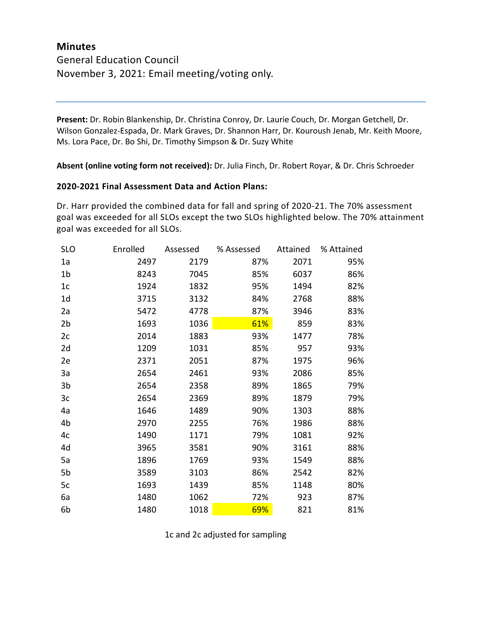## **Minutes** General Education Council November 3, 2021: Email meeting/voting only.

**Present:** Dr. Robin Blankenship, Dr. Christina Conroy, Dr. Laurie Couch, Dr. Morgan Getchell, Dr. Wilson Gonzalez-Espada, Dr. Mark Graves, Dr. Shannon Harr, Dr. Kouroush Jenab, Mr. Keith Moore, Ms. Lora Pace, Dr. Bo Shi, Dr. Timothy Simpson & Dr. Suzy White

**Absent (online voting form not received):** Dr. Julia Finch, Dr. Robert Royar, & Dr. Chris Schroeder

## **2020-2021 Final Assessment Data and Action Plans:**

Dr. Harr provided the combined data for fall and spring of 2020-21. The 70% assessment goal was exceeded for all SLOs except the two SLOs highlighted below. The 70% attainment goal was exceeded for all SLOs.

| <b>SLO</b>     | Enrolled | Assessed | % Assessed | Attained | % Attained |
|----------------|----------|----------|------------|----------|------------|
| 1a             | 2497     | 2179     | 87%        | 2071     | 95%        |
| 1 <sub>b</sub> | 8243     | 7045     | 85%        | 6037     | 86%        |
| 1c             | 1924     | 1832     | 95%        | 1494     | 82%        |
| 1d             | 3715     | 3132     | 84%        | 2768     | 88%        |
| 2a             | 5472     | 4778     | 87%        | 3946     | 83%        |
| 2 <sub>b</sub> | 1693     | 1036     | 61%        | 859      | 83%        |
| 2c             | 2014     | 1883     | 93%        | 1477     | 78%        |
| 2d             | 1209     | 1031     | 85%        | 957      | 93%        |
| 2e             | 2371     | 2051     | 87%        | 1975     | 96%        |
| 3a             | 2654     | 2461     | 93%        | 2086     | 85%        |
| 3 <sub>b</sub> | 2654     | 2358     | 89%        | 1865     | 79%        |
| 3c             | 2654     | 2369     | 89%        | 1879     | 79%        |
| 4a             | 1646     | 1489     | 90%        | 1303     | 88%        |
| 4b             | 2970     | 2255     | 76%        | 1986     | 88%        |
| 4c             | 1490     | 1171     | 79%        | 1081     | 92%        |
| 4d             | 3965     | 3581     | 90%        | 3161     | 88%        |
| 5a             | 1896     | 1769     | 93%        | 1549     | 88%        |
| 5b             | 3589     | 3103     | 86%        | 2542     | 82%        |
| 5c             | 1693     | 1439     | 85%        | 1148     | 80%        |
| 6a             | 1480     | 1062     | 72%        | 923      | 87%        |
| 6b             | 1480     | 1018     | 69%        | 821      | 81%        |

1c and 2c adjusted for sampling